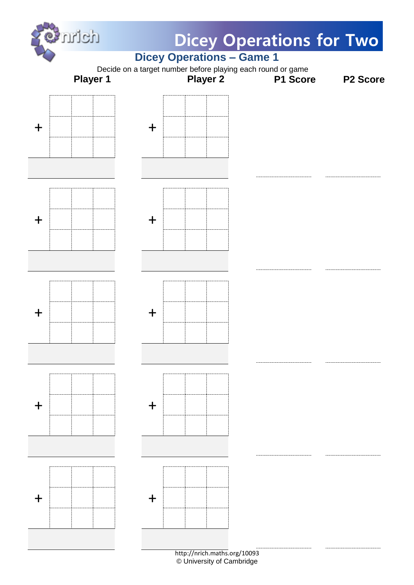

© University of Cambridge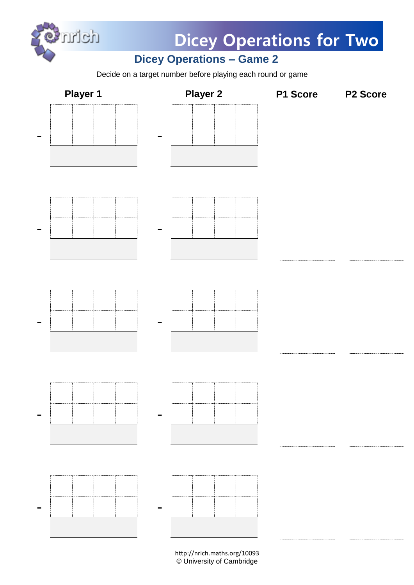

**Dicey Operations for Two**

## **Dicey Operations – Game 2**

Decide on a target number before playing each round or game

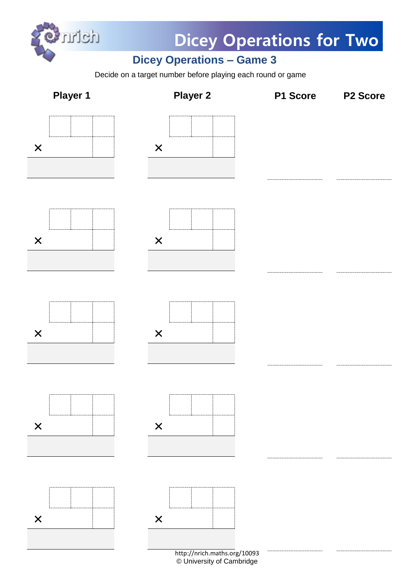

**Dicey Operations for Two**

## **Dicey Operations – Game 3**

Decide on a target number before playing each round or game



© University of Cambridge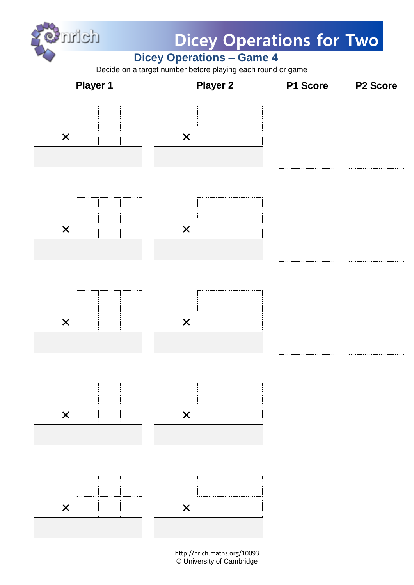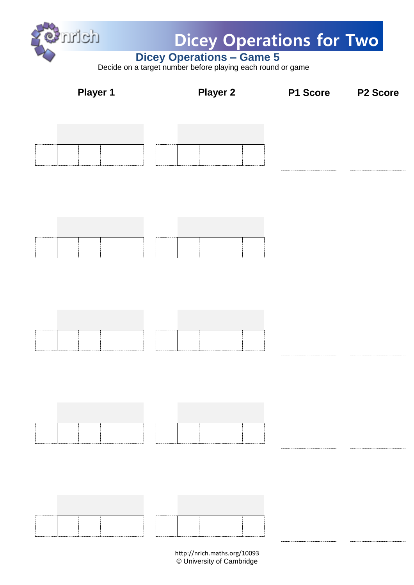